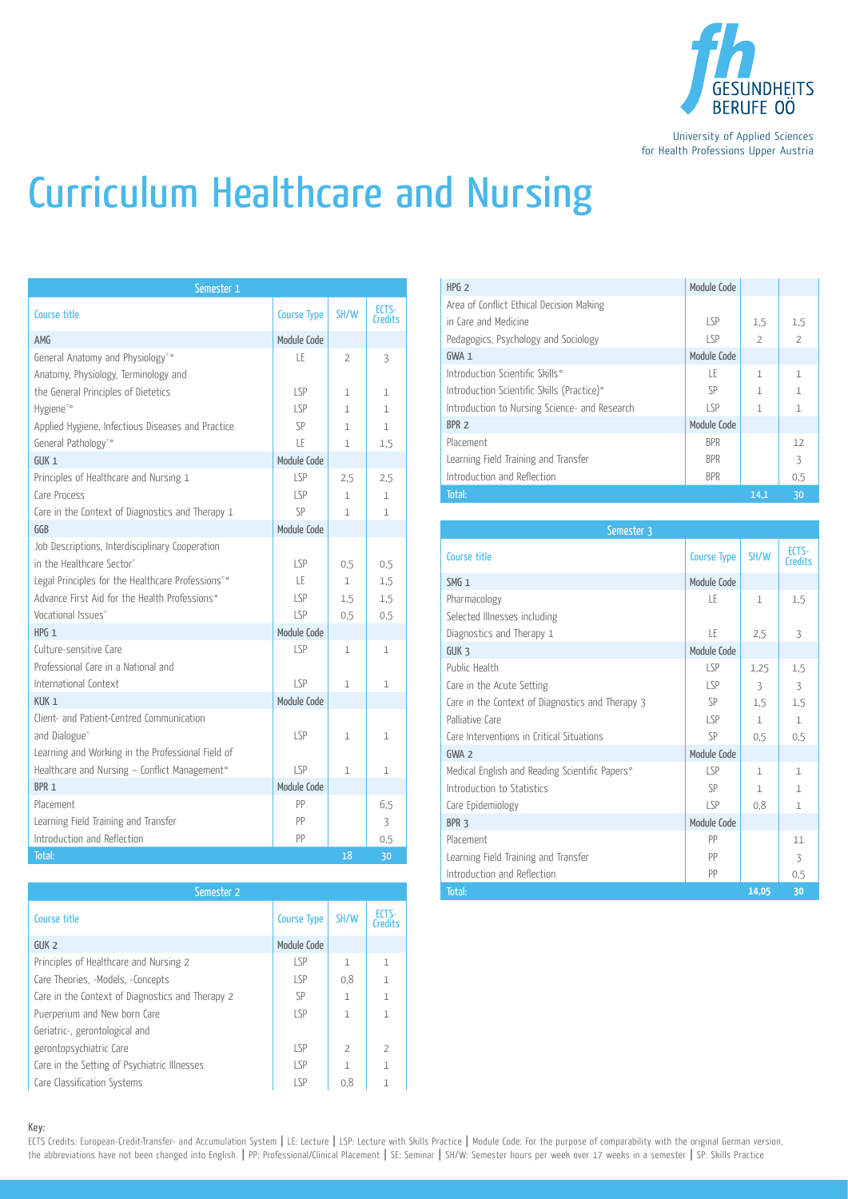

University of Applied Sciences for Health Professions Upper Austria

## Curriculum Healthcare and Nursing

| Semester 1                                                               |                    |                |                         |
|--------------------------------------------------------------------------|--------------------|----------------|-------------------------|
| Course title                                                             | <b>Course Type</b> | SH/W           | ECTS-<br><b>Credits</b> |
| AMG                                                                      | Module Code        |                |                         |
| General Anatomy and Physiology*°<br>Anatomy, Physiology, Terminology and | LE                 | $\overline{2}$ | 3                       |
| the General Principles of Dietetics                                      | LSP.               | 1              | $\mathbf{1}$            |
| Hygiene*°                                                                | LSP                | $\mathbf{1}$   | $\mathbf{1}$            |
| Applied Hygiene, Infectious Diseases and Practice                        | SP                 | $\mathbf{1}$   | $\mathbf{1}$            |
| General Pathology*°                                                      | LE                 | $\mathbf{1}$   | 1,5                     |
| GUK <sub>1</sub>                                                         | Module Code        |                |                         |
| Principles of Healthcare and Nursing 1                                   | LSP                | 2,5            | 2,5                     |
| Care Process                                                             | LSP                | $\mathbf{1}$   | $\mathbf{1}$            |
| Care in the Context of Diagnostics and Therapy 1                         | SP                 | $\mathbf{1}$   | $\mathbf{1}$            |
| GGB                                                                      | Module Code        |                |                         |
| Job Descriptions, Interdisciplinary Cooperation                          |                    |                |                         |
| in the Healthcare Sector*                                                | LSP.               | 0.5            | 0.5                     |
| Legal Principles for the Healthcare Professions*°                        | LE.                | $\mathbf{1}$   | 1,5                     |
| Advance First Aid for the Health Professions°                            | LSP                | 1,5            | 1.5                     |
| Vocational Issues*                                                       | LSP                | 0.5            | 0,5                     |
| $HPG_1$                                                                  | Module Code        |                |                         |
| Culture-sensitive Care<br>Professional Care in a National and            | LSP                | $\mathbf 1$    | 1                       |
| International Context                                                    | SP                 | $\mathbf{1}$   | $\mathbf{1}$            |
| KUK <sub>1</sub>                                                         | Module Code        |                |                         |
| Client- and Patient-Centred Communication<br>and Dialogue*               | LSP                | $\mathbf{1}$   | 1                       |
| Learning and Working in the Professional Field of                        |                    |                |                         |
| Healthcare and Nursing - Conflict Management°                            | LSP                | $\mathbf{1}$   | $\mathbf{1}$            |
| BPR <sub>1</sub>                                                         | Module Code        |                |                         |
| Placement                                                                | PP                 |                | 6.5                     |
| Learning Field Training and Transfer                                     | PP                 |                | 3                       |
| Introduction and Reflection                                              | PP                 |                | 0,5                     |
| Total:                                                                   |                    | 18             | 30                      |

| Semester 2                                       |                    |                |                  |  |  |  |
|--------------------------------------------------|--------------------|----------------|------------------|--|--|--|
| Course title                                     | <b>Course Type</b> | SH/W           | ECTS-<br>Credits |  |  |  |
| GUK <sub>2</sub>                                 | Module Code        |                |                  |  |  |  |
| Principles of Healthcare and Nursing 2           | LSP                | $\mathbf{1}$   | $\mathbf{1}$     |  |  |  |
| Care Theories, -Models, -Concepts                | LSP                | 0.8            | $\mathbf{1}$     |  |  |  |
| Care in the Context of Diagnostics and Therapy 2 | <b>SP</b>          | $\mathbf{1}$   | $\mathbf{1}$     |  |  |  |
| Puerperium and New born Care                     | LSP                | $\mathbf{1}$   | $\mathbf{1}$     |  |  |  |
| Geriatric-, gerontological and                   |                    |                |                  |  |  |  |
| gerontopsychiatric Care                          | LSP                | $\overline{2}$ | $\overline{2}$   |  |  |  |
| Care in the Setting of Psychiatric Illnesses     | LSP                | $\mathbf{1}$   | $\mathbf{1}$     |  |  |  |
| Care Classification Systems                      | LSP                | 0.8            | $\mathbf{1}$     |  |  |  |

| HPG <sub>2</sub>                              | Module Code |                          |                |
|-----------------------------------------------|-------------|--------------------------|----------------|
| Area of Conflict Ethical Decision Making      |             |                          |                |
| in Care and Medicine                          | LSP         | 1.5                      | 1.5            |
| Pedagogics, Psychology and Sociology          | LSP         | $\overline{\phantom{a}}$ | $\overline{2}$ |
| $GWA_1$                                       | Module Code |                          |                |
| Introduction Scientific Skills°               | ΙF          | $\mathbf{1}$             | 1              |
| Introduction Scientific Skills (Practice)°    | SP          | 1                        | 1              |
| Introduction to Nursing Science- and Research | S           | $\mathbf{1}$             |                |
| BPR <sub>2</sub>                              | Module Code |                          |                |
| Placement                                     | <b>BPR</b>  |                          | 12             |
| Learning Field Training and Transfer          | <b>BPR</b>  |                          | 3              |
| Introduction and Reflection                   | <b>BPR</b>  |                          | 0.5            |
| Total:                                        |             | 14.1                     | 30             |

|                       | Module Code |              |              |
|-----------------------|-------------|--------------|--------------|
|                       | <b>LSP</b>  | 0,5          | 0.5          |
|                       | LE.         | $\mathbf{1}$ | 1,5          |
|                       | <b>LSP</b>  | 1,5          | 1,5          |
|                       | LSP         | 0,5          | 0,5          |
|                       | Module Code |              |              |
|                       | <b>LSP</b>  | $\mathbf 1$  | $\mathbf{1}$ |
|                       |             |              |              |
|                       | LSP         | $\mathbf{1}$ | $\mathbf{1}$ |
|                       | Module Code |              |              |
|                       |             |              |              |
|                       | <b>LSP</b>  | $\mathbf{1}$ | $\mathbf{1}$ |
| al Field of           |             |              |              |
| gement°               | LSP         | $\mathbf{1}$ | $\mathbf{1}$ |
|                       | Module Code |              |              |
|                       | PP          |              | 6.5          |
|                       | PP          |              | 3            |
|                       | PP          |              | 0,5          |
|                       |             | 18           | 30           |
|                       |             |              |              |
| Semester <sub>2</sub> |             |              |              |

Key:

ECTS Credits: European-Credit-Transfer- and Accumulation System | LE: Lecture | LSP: Lecture with Skills Practice | Module Code: For the purpose of comparability with the original German version, the abbreviations have not been changed into English. | PP: Professional/Clinical Placement | SE: Seminar | SH/W: Semester hours per week over 17 weeks in a semester | SP: Skills Practice